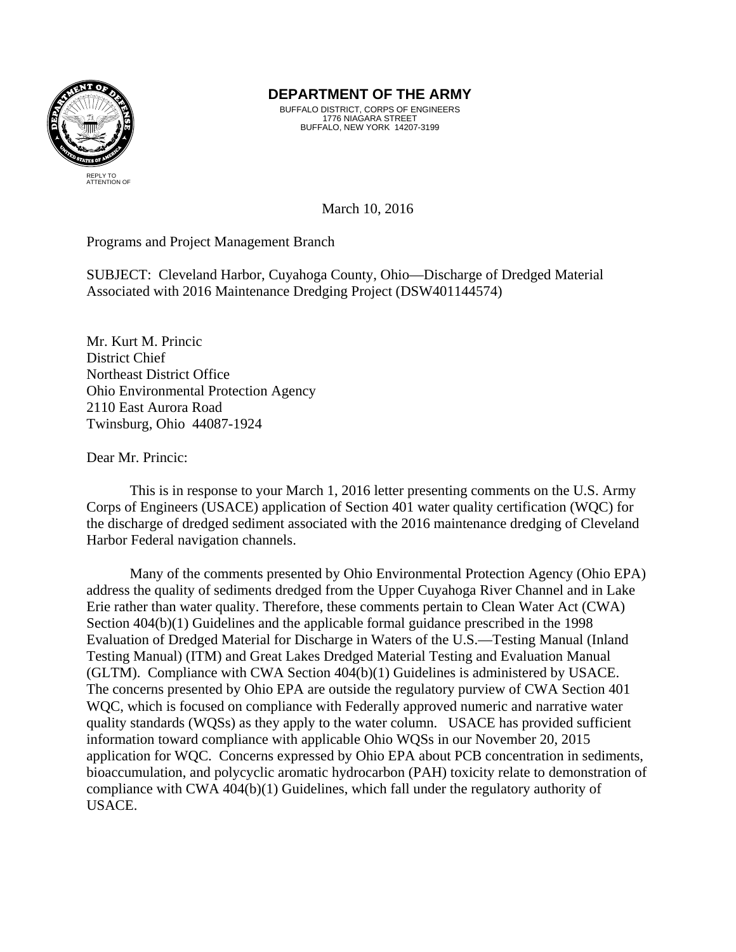

## **DEPARTMENT OF THE ARMY**

BUFFALO DISTRICT, CORPS OF ENGINEERS 1776 NIAGARA STREET BUFFALO, NEW YORK 14207-3199

March 10, 2016

Programs and Project Management Branch

SUBJECT: Cleveland Harbor, Cuyahoga County, Ohio—Discharge of Dredged Material Associated with 2016 Maintenance Dredging Project (DSW401144574)

Mr. Kurt M. Princic District Chief Northeast District Office Ohio Environmental Protection Agency 2110 East Aurora Road Twinsburg, Ohio 44087-1924

Dear Mr. Princic:

 This is in response to your March 1, 2016 letter presenting comments on the U.S. Army Corps of Engineers (USACE) application of Section 401 water quality certification (WQC) for the discharge of dredged sediment associated with the 2016 maintenance dredging of Cleveland Harbor Federal navigation channels.

 Many of the comments presented by Ohio Environmental Protection Agency (Ohio EPA) address the quality of sediments dredged from the Upper Cuyahoga River Channel and in Lake Erie rather than water quality. Therefore, these comments pertain to Clean Water Act (CWA) Section  $404(b)(1)$  Guidelines and the applicable formal guidance prescribed in the 1998 Evaluation of Dredged Material for Discharge in Waters of the U.S.—Testing Manual (Inland Testing Manual) (ITM) and Great Lakes Dredged Material Testing and Evaluation Manual (GLTM). Compliance with CWA Section 404(b)(1) Guidelines is administered by USACE. The concerns presented by Ohio EPA are outside the regulatory purview of CWA Section 401 WQC, which is focused on compliance with Federally approved numeric and narrative water quality standards (WQSs) as they apply to the water column. USACE has provided sufficient information toward compliance with applicable Ohio WQSs in our November 20, 2015 application for WQC. Concerns expressed by Ohio EPA about PCB concentration in sediments, bioaccumulation, and polycyclic aromatic hydrocarbon (PAH) toxicity relate to demonstration of compliance with CWA 404(b)(1) Guidelines, which fall under the regulatory authority of USACE.